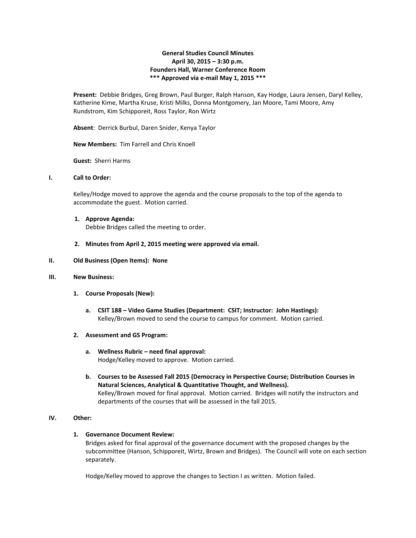# **General Studies Council Minutes April 30, 2015 – 3:30 p.m. Founders Hall, Warner Conference Room \*\*\* Approved via e-mail May 1, 2015 \*\*\***

**Present:** Debbie Bridges, Greg Brown, Paul Burger, Ralph Hanson, Kay Hodge, Laura Jensen, Daryl Kelley, Katherine Kime, Martha Kruse, Kristi Milks, Donna Montgomery, Jan Moore, Tami Moore, Amy Rundstrom, Kim Schipporeit, Ross Taylor, Ron Wirtz

**Absent**: Derrick Burbul, Daren Snider, Kenya Taylor

**New Members:** Tim Farrell and Chris Knoell

**Guest:** Sherri Harms

### **I. Call to Order:**

Kelley/Hodge moved to approve the agenda and the course proposals to the top of the agenda to accommodate the guest. Motion carried.

**1. Approve Agenda:** Debbie Bridges called the meeting to order.

### **2. Minutes from April 2, 2015 meeting were approved via email.**

## **II. Old Business (Open Items): None**

### **III. New Business:**

- **1. Course Proposals (New):**
	- **a. CSIT 188 – Video Game Studies (Department: CSIT; Instructor: John Hastings):** Kelley/Brown moved to send the course to campus for comment. Motion carried.

### **2. Assessment and GS Program:**

- **a. Wellness Rubric – need final approval:** Hodge/Kelley moved to approve. Motion carried.
- **b. Courses to be Assessed Fall 2015 (Democracy in Perspective Course; Distribution Courses in Natural Sciences, Analytical & Quantitative Thought, and Wellness).** Kelley/Brown moved for final approval. Motion carried. Bridges will notify the instructors and departments of the courses that will be assessed in the fall 2015.

# **IV. Other:**

# **1. Governance Document Review:**

Bridges asked for final approval of the governance document with the proposed changes by the subcommittee (Hanson, Schipporeit, Wirtz, Brown and Bridges). The Council will vote on each section separately.

Hodge/Kelley moved to approve the changes to Section I as written. Motion failed.